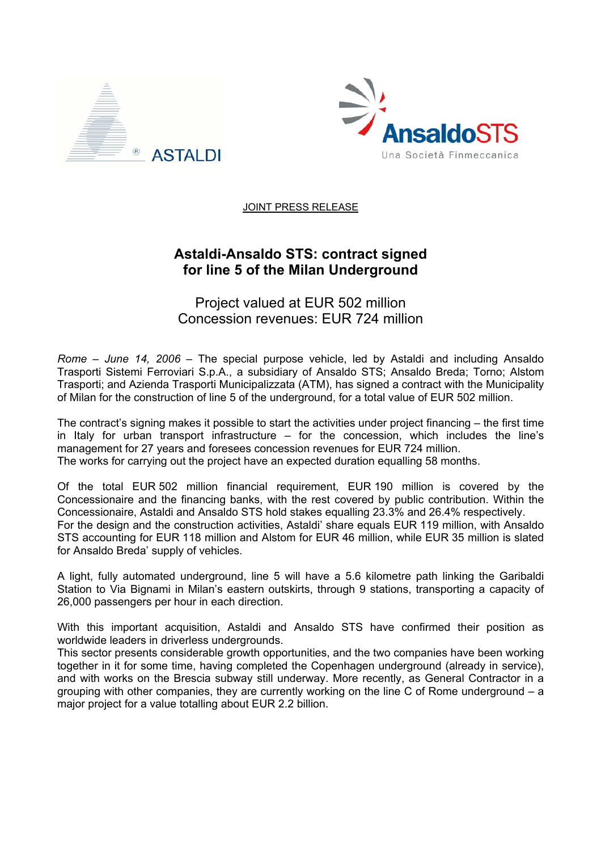



JOINT PRESS RELEASE

## **Astaldi-Ansaldo STS: contract signed for line 5 of the Milan Underground**

Project valued at EUR 502 million Concession revenues: EUR 724 million

*Rome – June 14, 2006* – The special purpose vehicle, led by Astaldi and including Ansaldo Trasporti Sistemi Ferroviari S.p.A., a subsidiary of Ansaldo STS; Ansaldo Breda; Torno; Alstom Trasporti; and Azienda Trasporti Municipalizzata (ATM), has signed a contract with the Municipality of Milan for the construction of line 5 of the underground, for a total value of EUR 502 million.

The contract's signing makes it possible to start the activities under project financing – the first time in Italy for urban transport infrastructure – for the concession, which includes the line's management for 27 years and foresees concession revenues for EUR 724 million. The works for carrying out the project have an expected duration equalling 58 months.

Of the total EUR 502 million financial requirement, EUR 190 million is covered by the Concessionaire and the financing banks, with the rest covered by public contribution. Within the Concessionaire, Astaldi and Ansaldo STS hold stakes equalling 23.3% and 26.4% respectively. For the design and the construction activities, Astaldi' share equals EUR 119 million, with Ansaldo STS accounting for EUR 118 million and Alstom for EUR 46 million, while EUR 35 million is slated for Ansaldo Breda' supply of vehicles.

A light, fully automated underground, line 5 will have a 5.6 kilometre path linking the Garibaldi Station to Via Bignami in Milan's eastern outskirts, through 9 stations, transporting a capacity of 26,000 passengers per hour in each direction.

With this important acquisition, Astaldi and Ansaldo STS have confirmed their position as worldwide leaders in driverless undergrounds.

This sector presents considerable growth opportunities, and the two companies have been working together in it for some time, having completed the Copenhagen underground (already in service), and with works on the Brescia subway still underway. More recently, as General Contractor in a grouping with other companies, they are currently working on the line C of Rome underground – a major project for a value totalling about EUR 2.2 billion.